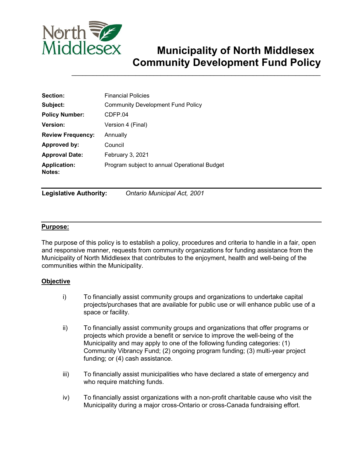

# **Municipality of North Middlesex Community Development Fund Policy**

\_\_\_\_\_\_\_\_\_\_\_\_\_\_\_\_\_\_\_\_\_\_\_\_\_\_\_\_\_\_\_\_\_\_\_\_\_\_\_\_\_\_\_\_\_\_\_\_\_\_\_\_\_\_\_\_\_\_\_\_\_\_\_\_\_\_\_\_\_\_

| Section:                      | <b>Financial Policies</b>                    |  |  |
|-------------------------------|----------------------------------------------|--|--|
| Subject:                      | <b>Community Development Fund Policy</b>     |  |  |
| <b>Policy Number:</b>         | CDFP.04                                      |  |  |
| Version:                      | Version 4 (Final)                            |  |  |
| <b>Review Frequency:</b>      | Annually                                     |  |  |
| Approved by:                  | Council                                      |  |  |
| <b>Approval Date:</b>         | February 3, 2021                             |  |  |
| <b>Application:</b><br>Notes: | Program subject to annual Operational Budget |  |  |

**Legislative Authority:** *Ontario Municipal Act, 2001* 

# **Purpose:**

The purpose of this policy is to establish a policy, procedures and criteria to handle in a fair, open and responsive manner, requests from community organizations for funding assistance from the Municipality of North Middlesex that contributes to the enjoyment, health and well-being of the communities within the Municipality.

# **Objective**

- i) To financially assist community groups and organizations to undertake capital projects/purchases that are available for public use or will enhance public use of a space or facility.
- ii) To financially assist community groups and organizations that offer programs or projects which provide a benefit or service to improve the well-being of the Municipality and may apply to one of the following funding categories: (1) Community Vibrancy Fund; (2) ongoing program funding; (3) multi-year project funding; or (4) cash assistance.
- iii) To financially assist municipalities who have declared a state of emergency and who require matching funds.
- iv) To financially assist organizations with a non-profit charitable cause who visit the Municipality during a major cross-Ontario or cross-Canada fundraising effort.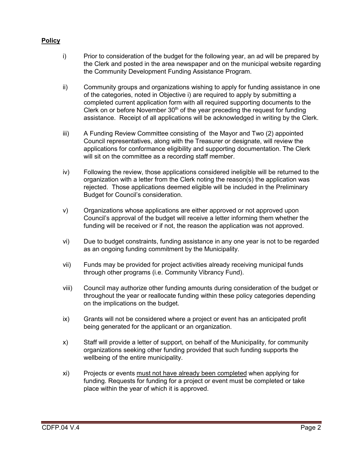# **Policy**

- i) Prior to consideration of the budget for the following year, an ad will be prepared by the Clerk and posted in the area newspaper and on the municipal website regarding the Community Development Funding Assistance Program.
- ii) Community groups and organizations wishing to apply for funding assistance in one of the categories, noted in Objective i) are required to apply by submitting a completed current application form with all required supporting documents to the Clerk on or before November  $30<sup>th</sup>$  of the year preceding the request for funding assistance. Receipt of all applications will be acknowledged in writing by the Clerk.
- iii) A Funding Review Committee consisting of the Mayor and Two (2) appointed Council representatives, along with the Treasurer or designate, will review the applications for conformance eligibility and supporting documentation. The Clerk will sit on the committee as a recording staff member.
- iv) Following the review, those applications considered ineligible will be returned to the organization with a letter from the Clerk noting the reason(s) the application was rejected. Those applications deemed eligible will be included in the Preliminary Budget for Council's consideration.
- v) Organizations whose applications are either approved or not approved upon Council's approval of the budget will receive a letter informing them whether the funding will be received or if not, the reason the application was not approved.
- vi) Due to budget constraints, funding assistance in any one year is not to be regarded as an ongoing funding commitment by the Municipality.
- vii) Funds may be provided for project activities already receiving municipal funds through other programs (i.e. Community Vibrancy Fund).
- viii) Council may authorize other funding amounts during consideration of the budget or throughout the year or reallocate funding within these policy categories depending on the implications on the budget.
- ix) Grants will not be considered where a project or event has an anticipated profit being generated for the applicant or an organization.
- x) Staff will provide a letter of support, on behalf of the Municipality, for community organizations seeking other funding provided that such funding supports the wellbeing of the entire municipality.
- xi) Projects or events must not have already been completed when applying for funding. Requests for funding for a project or event must be completed or take place within the year of which it is approved.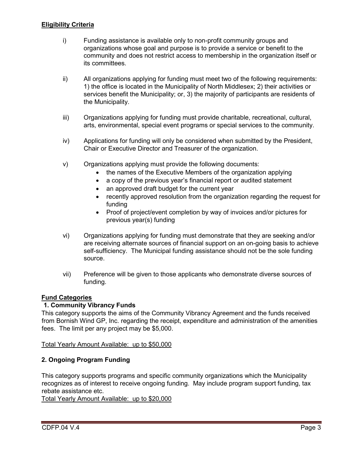# **Eligibility Criteria**

- i) Funding assistance is available only to non-profit community groups and organizations whose goal and purpose is to provide a service or benefit to the community and does not restrict access to membership in the organization itself or its committees.
- ii) All organizations applying for funding must meet two of the following requirements: 1) the office is located in the Municipality of North Middlesex; 2) their activities or services benefit the Municipality; or, 3) the majority of participants are residents of the Municipality.
- iii) Organizations applying for funding must provide charitable, recreational, cultural, arts, environmental, special event programs or special services to the community.
- iv) Applications for funding will only be considered when submitted by the President, Chair or Executive Director and Treasurer of the organization.
- v) Organizations applying must provide the following documents:
	- the names of the Executive Members of the organization applying
	- a copy of the previous year's financial report or audited statement
	- an approved draft budget for the current year
	- recently approved resolution from the organization regarding the request for funding
	- Proof of project/event completion by way of invoices and/or pictures for previous year(s) funding
- vi) Organizations applying for funding must demonstrate that they are seeking and/or are receiving alternate sources of financial support on an on-going basis to achieve self-sufficiency. The Municipal funding assistance should not be the sole funding source.
- vii) Preference will be given to those applicants who demonstrate diverse sources of funding.

# **Fund Categories**

# **1. Community Vibrancy Funds**

This category supports the aims of the Community Vibrancy Agreement and the funds received from Bornish Wind GP, Inc. regarding the receipt, expenditure and administration of the amenities fees. The limit per any project may be \$5,000.

Total Yearly Amount Available: up to \$50,000

# **2. Ongoing Program Funding**

This category supports programs and specific community organizations which the Municipality recognizes as of interest to receive ongoing funding. May include program support funding, tax rebate assistance etc.

Total Yearly Amount Available: up to \$20,000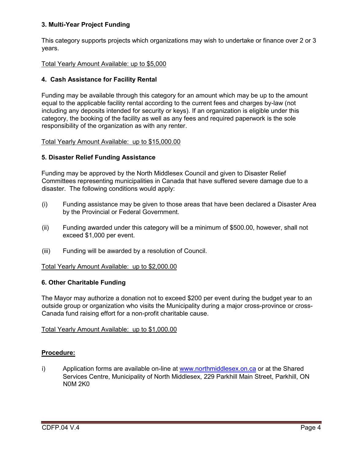# **3. Multi-Year Project Funding**

This category supports projects which organizations may wish to undertake or finance over 2 or 3 years.

# Total Yearly Amount Available: up to \$5,000

# **4. Cash Assistance for Facility Rental**

Funding may be available through this category for an amount which may be up to the amount equal to the applicable facility rental according to the current fees and charges by-law (not including any deposits intended for security or keys). If an organization is eligible under this category, the booking of the facility as well as any fees and required paperwork is the sole responsibility of the organization as with any renter.

### Total Yearly Amount Available: up to \$15,000.00

# **5. Disaster Relief Funding Assistance**

Funding may be approved by the North Middlesex Council and given to Disaster Relief Committees representing municipalities in Canada that have suffered severe damage due to a disaster. The following conditions would apply:

- (i) Funding assistance may be given to those areas that have been declared a Disaster Area by the Provincial or Federal Government.
- (ii) Funding awarded under this category will be a minimum of \$500.00, however, shall not exceed \$1,000 per event.
- (iii) Funding will be awarded by a resolution of Council.

#### Total Yearly Amount Available: up to \$2,000.00

#### **6. Other Charitable Funding**

The Mayor may authorize a donation not to exceed \$200 per event during the budget year to an outside group or organization who visits the Municipality during a major cross-province or cross-Canada fund raising effort for a non-profit charitable cause.

#### Total Yearly Amount Available: up to \$1,000.00

# **Procedure:**

i) Application forms are available on-line at [www.northmiddlesex.on.ca](http://www.northmiddlesex.on.ca/) or at the Shared Services Centre, Municipality of North Middlesex, 229 Parkhill Main Street, Parkhill, ON N0M 2K0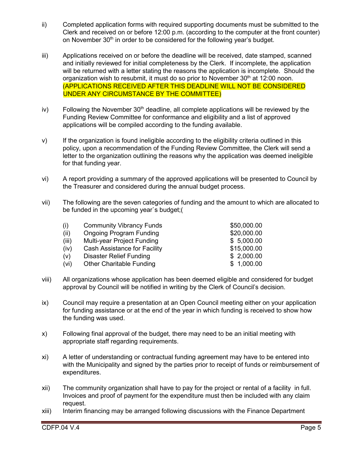- ii) Completed application forms with required supporting documents must be submitted to the Clerk and received on or before 12:00 p.m. (according to the computer at the front counter) on November 30<sup>th</sup> in order to be considered for the following year's budget.
- iii) Applications received on or before the deadline will be received, date stamped, scanned and initially reviewed for initial completeness by the Clerk. If incomplete, the application will be returned with a letter stating the reasons the application is incomplete. Should the organization wish to resubmit, it must do so prior to November  $30<sup>th</sup>$  at 12:00 noon. (APPLICATIONS RECEIVED AFTER THIS DEADLINE WILL NOT BE CONSIDERED UNDER ANY CIRCUMSTANCE BY THE COMMITTEE)
- iv) Following the November  $30<sup>th</sup>$  deadline, all complete applications will be reviewed by the Funding Review Committee for conformance and eligibility and a list of approved applications will be compiled according to the funding available.
- v) If the organization is found ineligible according to the eligibility criteria outlined in this policy, upon a recommendation of the Funding Review Committee, the Clerk will send a letter to the organization outlining the reasons why the application was deemed ineligible for that funding year.
- vi) A report providing a summary of the approved applications will be presented to Council by the Treasurer and considered during the annual budget process.
- vii) The following are the seven categories of funding and the amount to which are allocated to be funded in the upcoming year`s budget;(

| (i)   | <b>Community Vibrancy Funds</b> | \$50,000.00 |
|-------|---------------------------------|-------------|
| (ii)  | <b>Ongoing Program Funding</b>  | \$20,000.00 |
| (iii) | Multi-year Project Funding      | \$5,000.00  |
| (iv)  | Cash Assistance for Facility    | \$15,000.00 |
| (v)   | Disaster Relief Funding         | \$2,000.00  |
| (vi)  | <b>Other Charitable Funding</b> | \$1,000.00  |
|       |                                 |             |

- viii) All organizations whose application has been deemed eligible and considered for budget approval by Council will be notified in writing by the Clerk of Council's decision.
- ix) Council may require a presentation at an Open Council meeting either on your application for funding assistance or at the end of the year in which funding is received to show how the funding was used.
- x) Following final approval of the budget, there may need to be an initial meeting with appropriate staff regarding requirements.
- xi) A letter of understanding or contractual funding agreement may have to be entered into with the Municipality and signed by the parties prior to receipt of funds or reimbursement of expenditures.
- xii) The community organization shall have to pay for the project or rental of a facility in full. Invoices and proof of payment for the expenditure must then be included with any claim request.
- xiii) Interim financing may be arranged following discussions with the Finance Department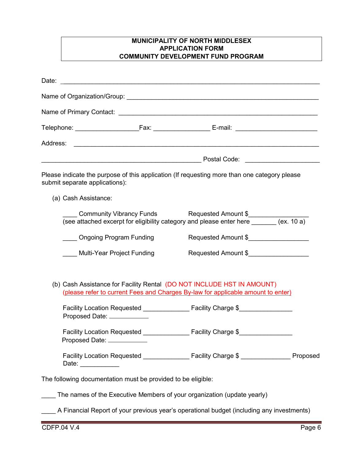# **MUNICIPALITY OF NORTH MIDDLESEX APPLICATION FORM COMMUNITY DEVELOPMENT FUND PROGRAM**

| submit separate applications):<br>(a) Cash Assistance:             | Please indicate the purpose of this application (If requesting more than one category please                                                               |  |
|--------------------------------------------------------------------|------------------------------------------------------------------------------------------------------------------------------------------------------------|--|
|                                                                    | Community Vibrancy Funds Requested Amount \$<br>(see attached excerpt for eligibility category and please enter here _______ (ex. 10 a)                    |  |
| Ongoing Program Funding                                            | Requested Amount \$                                                                                                                                        |  |
| Multi-Year Project Funding                                         | Requested Amount \$                                                                                                                                        |  |
|                                                                    | (b) Cash Assistance for Facility Rental (DO NOT INCLUDE HST IN AMOUNT)<br>(please refer to current Fees and Charges By-law for applicable amount to enter) |  |
| Proposed Date: ____________                                        |                                                                                                                                                            |  |
| <b>Facility Location Requested</b><br>Proposed Date: _____________ | Facility Charge \$                                                                                                                                         |  |
| Date: $\frac{1}{2}$                                                | Facility Location Requested ________________ Facility Charge \$ ________________ Proposed                                                                  |  |
| The following documentation must be provided to be eligible:       |                                                                                                                                                            |  |
|                                                                    | The names of the Executive Members of your organization (update yearly)                                                                                    |  |
|                                                                    | A Financial Report of your previous year's operational budget (including any investments)                                                                  |  |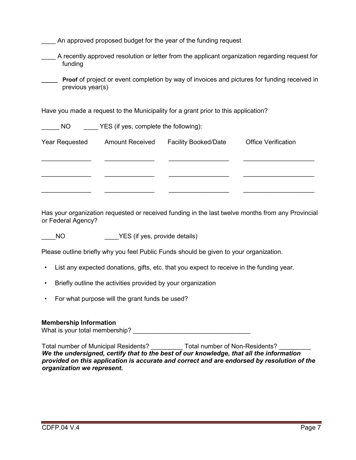| An approved proposed budget for the year of the funding request                                                         |                                       |                             |                            |  |
|-------------------------------------------------------------------------------------------------------------------------|---------------------------------------|-----------------------------|----------------------------|--|
| A recently approved resolution or letter from the applicant organization regarding request for<br>funding               |                                       |                             |                            |  |
| <b>Proof</b> of project or event completion by way of invoices and pictures for funding received in<br>previous year(s) |                                       |                             |                            |  |
| Have you made a request to the Municipality for a grant prior to this application?                                      |                                       |                             |                            |  |
| NO.                                                                                                                     | YES (if yes, complete the following): |                             |                            |  |
| Year Requested                                                                                                          | <b>Amount Received</b>                | <b>Facility Booked/Date</b> | <b>Office Verification</b> |  |
|                                                                                                                         |                                       |                             |                            |  |
|                                                                                                                         |                                       |                             |                            |  |
|                                                                                                                         |                                       |                             |                            |  |

Has your organization requested or received funding in the last twelve months from any Provincial or Federal Agency?

NO YES (if yes, provide details)

Please outline briefly why you feel Public Funds should be given to your organization.

- List any expected donations, gifts, etc. that you expect to receive in the funding year.
- Briefly outline the activities provided by your organization
- For what purpose will the grant funds be used?

#### **Membership Information**

What is your total membership? \_\_\_\_\_\_\_\_\_\_\_\_\_\_\_\_\_\_\_\_\_\_\_\_\_\_\_\_\_\_\_\_\_

Total number of Municipal Residents? \_\_\_\_\_\_\_\_\_\_ Total number of Non-Residents? \_\_\_\_\_ *We the undersigned, certify that to the best of our knowledge, that all the information provided on this application is accurate and correct and are endorsed by resolution of the organization we represent.*